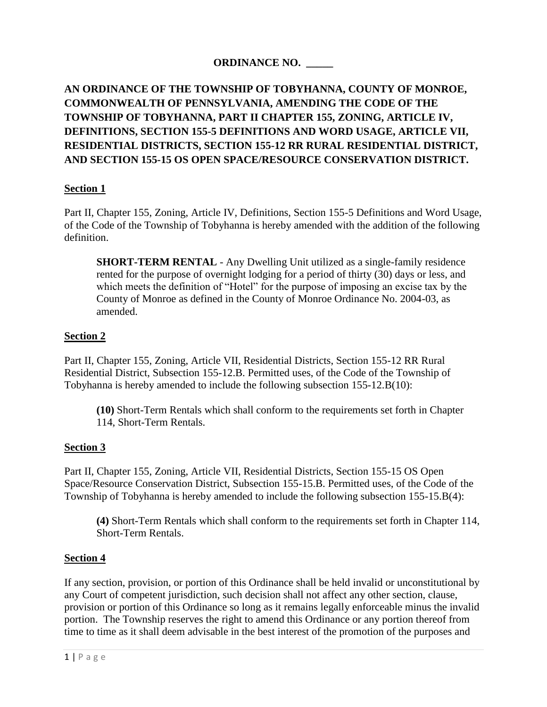## **ORDINANCE NO. \_\_\_\_\_**

# **AN ORDINANCE OF THE TOWNSHIP OF TOBYHANNA, COUNTY OF MONROE, COMMONWEALTH OF PENNSYLVANIA, AMENDING THE CODE OF THE TOWNSHIP OF TOBYHANNA, PART II CHAPTER 155, ZONING, ARTICLE IV, DEFINITIONS, SECTION 155-5 DEFINITIONS AND WORD USAGE, ARTICLE VII, RESIDENTIAL DISTRICTS, SECTION 155-12 RR RURAL RESIDENTIAL DISTRICT, AND SECTION 155-15 OS OPEN SPACE/RESOURCE CONSERVATION DISTRICT.**

### **Section 1**

Part II, Chapter 155, Zoning, Article IV, Definitions, Section 155-5 Definitions and Word Usage, of the Code of the Township of Tobyhanna is hereby amended with the addition of the following definition.

**SHORT-TERM RENTAL** - Any Dwelling Unit utilized as a single-family residence rented for the purpose of overnight lodging for a period of thirty (30) days or less, and which meets the definition of "Hotel" for the purpose of imposing an excise tax by the County of Monroe as defined in the County of Monroe Ordinance No. 2004-03, as amended.

### **Section 2**

Part II, Chapter 155, Zoning, Article VII, Residential Districts, Section 155-12 RR Rural Residential District, Subsection 155-12.B. Permitted uses, of the Code of the Township of Tobyhanna is hereby amended to include the following subsection 155-12.B(10):

**(10)** Short-Term Rentals which shall conform to the requirements set forth in Chapter 114, Short-Term Rentals.

#### **Section 3**

Part II, Chapter 155, Zoning, Article VII, Residential Districts, Section 155-15 OS Open Space/Resource Conservation District, Subsection 155-15.B. Permitted uses, of the Code of the Township of Tobyhanna is hereby amended to include the following subsection 155-15.B(4):

**(4)** Short-Term Rentals which shall conform to the requirements set forth in Chapter 114, Short-Term Rentals.

#### **Section 4**

If any section, provision, or portion of this Ordinance shall be held invalid or unconstitutional by any Court of competent jurisdiction, such decision shall not affect any other section, clause, provision or portion of this Ordinance so long as it remains legally enforceable minus the invalid portion. The Township reserves the right to amend this Ordinance or any portion thereof from time to time as it shall deem advisable in the best interest of the promotion of the purposes and